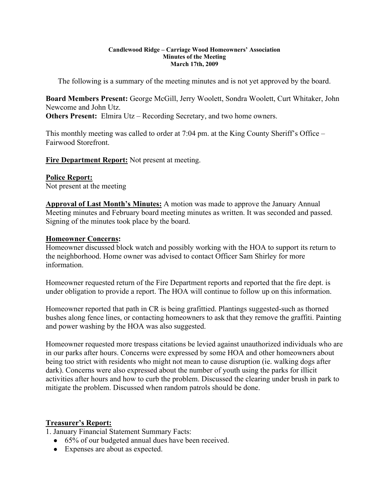#### **Candlewood Ridge – Carriage Wood Homeowners' Association Minutes of the Meeting March 17th, 2009**

The following is a summary of the meeting minutes and is not yet approved by the board.

**Board Members Present:** George McGill, Jerry Woolett, Sondra Woolett, Curt Whitaker, John Newcome and John Utz.

**Others Present:** Elmira Utz – Recording Secretary, and two home owners.

This monthly meeting was called to order at 7:04 pm. at the King County Sheriff's Office – Fairwood Storefront.

**Fire Department Report:** Not present at meeting.

### **Police Report:**

Not present at the meeting

**Approval of Last Month's Minutes:** A motion was made to approve the January Annual Meeting minutes and February board meeting minutes as written. It was seconded and passed. Signing of the minutes took place by the board.

### **Homeowner Concerns:**

Homeowner discussed block watch and possibly working with the HOA to support its return to the neighborhood. Home owner was advised to contact Officer Sam Shirley for more information.

Homeowner requested return of the Fire Department reports and reported that the fire dept. is under obligation to provide a report. The HOA will continue to follow up on this information.

Homeowner reported that path in CR is being grafittied. Plantings suggested-such as thorned bushes along fence lines, or contacting homeowners to ask that they remove the graffiti. Painting and power washing by the HOA was also suggested.

Homeowner requested more trespass citations be levied against unauthorized individuals who are in our parks after hours. Concerns were expressed by some HOA and other homeowners about being too strict with residents who might not mean to cause disruption (ie. walking dogs after dark). Concerns were also expressed about the number of youth using the parks for illicit activities after hours and how to curb the problem. Discussed the clearing under brush in park to mitigate the problem. Discussed when random patrols should be done.

# **Treasurer's Report:**

1. January Financial Statement Summary Facts:

- 65% of our budgeted annual dues have been received.
- Expenses are about as expected.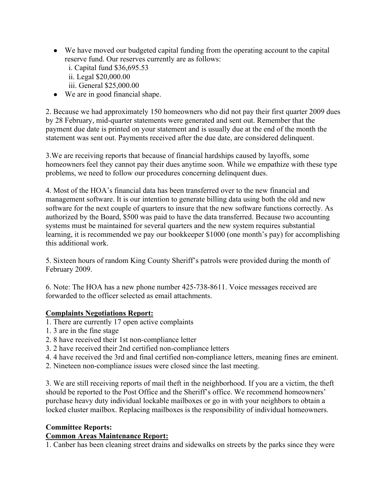- We have moved our budgeted capital funding from the operating account to the capital reserve fund. Our reserves currently are as follows:
	- i. Capital fund \$36,695.53 ii. Legal \$20,000.00
	- iii. General \$25,000.00
- We are in good financial shape.

2. Because we had approximately 150 homeowners who did not pay their first quarter 2009 dues by 28 February, mid-quarter statements were generated and sent out. Remember that the payment due date is printed on your statement and is usually due at the end of the month the statement was sent out. Payments received after the due date, are considered delinquent.

3.We are receiving reports that because of financial hardships caused by layoffs, some homeowners feel they cannot pay their dues anytime soon. While we empathize with these type problems, we need to follow our procedures concerning delinquent dues.

4. Most of the HOA's financial data has been transferred over to the new financial and management software. It is our intention to generate billing data using both the old and new software for the next couple of quarters to insure that the new software functions correctly. As authorized by the Board, \$500 was paid to have the data transferred. Because two accounting systems must be maintained for several quarters and the new system requires substantial learning, it is recommended we pay our bookkeeper \$1000 (one month's pay) for accomplishing this additional work.

5. Sixteen hours of random King County Sheriff's patrols were provided during the month of February 2009.

6. Note: The HOA has a new phone number 425-738-8611. Voice messages received are forwarded to the officer selected as email attachments.

# **Complaints Negotiations Report:**

- 1. There are currently 17 open active complaints
- 1. 3 are in the fine stage
- 2. 8 have received their 1st non-compliance letter
- 3. 2 have received their 2nd certified non-compliance letters
- 4. 4 have received the 3rd and final certified non-compliance letters, meaning fines are eminent.
- 2. Nineteen non-compliance issues were closed since the last meeting.

3. We are still receiving reports of mail theft in the neighborhood. If you are a victim, the theft should be reported to the Post Office and the Sheriff's office. We recommend homeowners' purchase heavy duty individual lockable mailboxes or go in with your neighbors to obtain a locked cluster mailbox. Replacing mailboxes is the responsibility of individual homeowners.

# **Committee Reports:**

# **Common Areas Maintenance Report:**

1. Canber has been cleaning street drains and sidewalks on streets by the parks since they were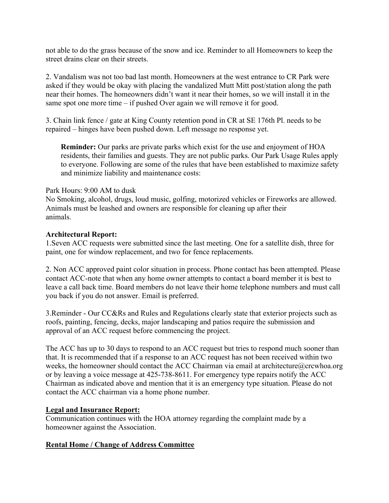not able to do the grass because of the snow and ice. Reminder to all Homeowners to keep the street drains clear on their streets.

2. Vandalism was not too bad last month. Homeowners at the west entrance to CR Park were asked if they would be okay with placing the vandalized Mutt Mitt post/station along the path near their homes. The homeowners didn't want it near their homes, so we will install it in the same spot one more time – if pushed Over again we will remove it for good.

3. Chain link fence / gate at King County retention pond in CR at SE 176th Pl. needs to be repaired – hinges have been pushed down. Left message no response yet.

**Reminder:** Our parks are private parks which exist for the use and enjoyment of HOA residents, their families and guests. They are not public parks. Our Park Usage Rules apply to everyone. Following are some of the rules that have been established to maximize safety and minimize liability and maintenance costs:

#### Park Hours: 9:00 AM to dusk

No Smoking, alcohol, drugs, loud music, golfing, motorized vehicles or Fireworks are allowed. Animals must be leashed and owners are responsible for cleaning up after their animals.

### **Architectural Report:**

1.Seven ACC requests were submitted since the last meeting. One for a satellite dish, three for paint, one for window replacement, and two for fence replacements.

2. Non ACC approved paint color situation in process. Phone contact has been attempted. Please contact ACC-note that when any home owner attempts to contact a board member it is best to leave a call back time. Board members do not leave their home telephone numbers and must call you back if you do not answer. Email is preferred.

3.Reminder - Our CC&Rs and Rules and Regulations clearly state that exterior projects such as roofs, painting, fencing, decks, major landscaping and patios require the submission and approval of an ACC request before commencing the project.

The ACC has up to 30 days to respond to an ACC request but tries to respond much sooner than that. It is recommended that if a response to an ACC request has not been received within two weeks, the homeowner should contact the ACC Chairman via email at architecture@crcwhoa.org or by leaving a voice message at 425-738-8611. For emergency type repairs notify the ACC Chairman as indicated above and mention that it is an emergency type situation. Please do not contact the ACC chairman via a home phone number.

# **Legal and Insurance Report:**

Communication continues with the HOA attorney regarding the complaint made by a homeowner against the Association.

# **Rental Home / Change of Address Committee**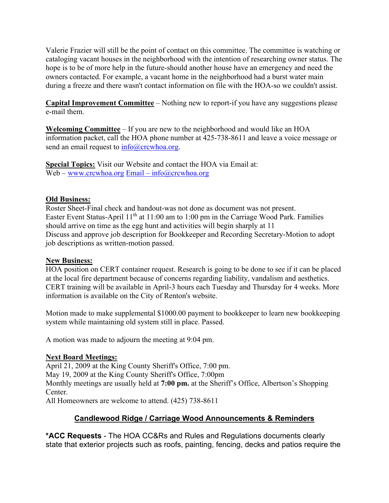Valerie Frazier will still be the point of contact on this committee. The committee is watching or cataloging vacant houses in the neighborhood with the intention of researching owner status. The hope is to be of more help in the future-should another house have an emergency and need the owners contacted. For example, a vacant home in the neighborhood had a burst water main during a freeze and there wasn't contact information on file with the HOA-so we couldn't assist.

**Capital Improvement Committee** – Nothing new to report-if you have any suggestions please e-mail them.

**Welcoming Committee** – If you are new to the neighborhood and would like an HOA information packet, call the HOA phone number at 425-738-8611 and leave a voice message or send an email request to  $info@crcwboa.org$ .

**Special Topics:** Visit our Website and contact the HOA via Email at: Web – www.crcwhoa.org Email – info@crcwhoa.org

# **Old Business:**

Roster Sheet-Final check and handout-was not done as document was not present. Easter Event Status-April  $11<sup>th</sup>$  at  $11:00$  am to 1:00 pm in the Carriage Wood Park. Families should arrive on time as the egg hunt and activities will begin sharply at 11 Discuss and approve job description for Bookkeeper and Recording Secretary-Motion to adopt job descriptions as written-motion passed.

# **New Business:**

HOA position on CERT container request. Research is going to be done to see if it can be placed at the local fire department because of concerns regarding liability, vandalism and aesthetics. CERT training will be available in April-3 hours each Tuesday and Thursday for 4 weeks. More information is available on the City of Renton's website.

Motion made to make supplemental \$1000.00 payment to bookkeeper to learn new bookkeeping system while maintaining old system still in place. Passed.

A motion was made to adjourn the meeting at 9:04 pm.

# **Next Board Meetings:**

April 21, 2009 at the King County Sheriff's Office, 7:00 pm.

May 19, 2009 at the King County Sheriff's Office, 7:00pm

Monthly meetings are usually held at **7:00 pm.** at the Sheriff's Office, Albertson's Shopping Center.

All Homeowners are welcome to attend. (425) 738-8611

# **Candlewood Ridge / Carriage Wood Announcements & Reminders**

**\*ACC Requests** - The HOA CC&Rs and Rules and Regulations documents clearly state that exterior projects such as roofs, painting, fencing, decks and patios require the